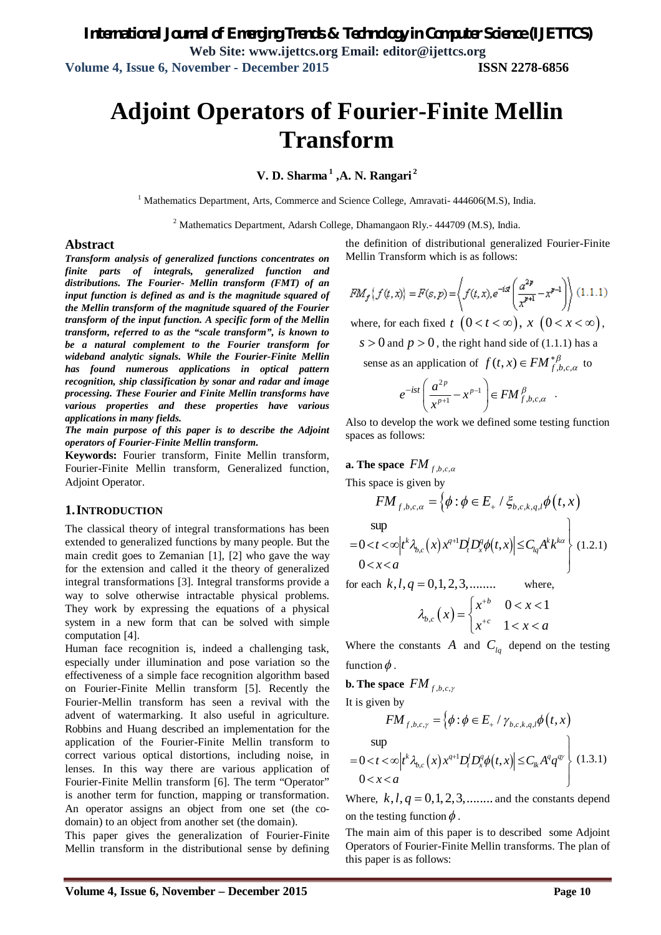# **Adjoint Operators of Fourier-Finite Mellin Transform**

**V. D. Sharma <sup>1</sup> ,A. N. Rangari <sup>2</sup>**

<sup>1</sup> Mathematics Department, Arts, Commerce and Science College, Amravati- 444606(M.S), India.

<sup>2</sup> Mathematics Department, Adarsh College, Dhamangaon Rly.- 444709 (M.S), India.

#### **Abstract**

*Transform analysis of generalized functions concentrates on finite parts of integrals, generalized function and distributions. The Fourier- Mellin transform (FMT) of an input function is defined as and is the magnitude squared of the Mellin transform of the magnitude squared of the Fourier transform of the input function. A specific form of the Mellin transform, referred to as the "scale transform", is known to be a natural complement to the Fourier transform for wideband analytic signals. While the Fourier-Finite Mellin has found numerous applications in optical pattern recognition, ship classification by sonar and radar and image processing. These Fourier and Finite Mellin transforms have various properties and these properties have various applications in many fields.* 

*The main purpose of this paper is to describe the Adjoint operators of Fourier-Finite Mellin transform.* 

**Keywords:** Fourier transform, Finite Mellin transform, Fourier-Finite Mellin transform, Generalized function, Adjoint Operator.

#### **1.INTRODUCTION**

The classical theory of integral transformations has been extended to generalized functions by many people. But the main credit goes to Zemanian [1], [2] who gave the way for the extension and called it the theory of generalized integral transformations [3]. Integral transforms provide a way to solve otherwise intractable physical problems. They work by expressing the equations of a physical system in a new form that can be solved with simple computation [4].

Human face recognition is, indeed a challenging task, especially under illumination and pose variation so the effectiveness of a simple face recognition algorithm based on Fourier-Finite Mellin transform [5]. Recently the Fourier-Mellin transform has seen a revival with the advent of watermarking. It also useful in agriculture. Robbins and Huang described an implementation for the application of the Fourier-Finite Mellin transform to correct various optical distortions, including noise, in lenses. In this way there are various application of Fourier-Finite Mellin transform [6]. The term "Operator" is another term for function, mapping or transformation. An operator assigns an object from one set (the codomain) to an object from another set (the domain).

This paper gives the generalization of Fourier-Finite Mellin transform in the distributional sense by defining

the definition of distributional generalized Fourier-Finite Mellin Transform which is as follows:

$$
FM_f(f(t,x)) = F(s,p) = \left\langle f(t,x), e^{-ist} \left( \frac{a^{2p}}{x^{p+1}} - x^{p-1} \right) \right\rangle (1.1.1)
$$

where, for each fixed  $t \ (0 < t < \infty)$ ,  $x \ (0 < x < \infty)$ ,

 $s > 0$  and  $p > 0$ , the right hand side of (1.1.1) has a

sense as an application of  $f(t, x) \in FM_{f,b,c,\alpha}^{*\beta}$  to

$$
e^{-ist}\left(\frac{a^{2p}}{x^{p+1}}-x^{p-1}\right) \in FM^{\beta}_{f,b,c,\alpha}.
$$

Also to develop the work we defined some testing function spaces as follows:

**a.** The space  $FM_{f,b,c,\alpha}$ 

This space is given by

sup

$$
\sup_{0 < t < \infty} \left| t^k \lambda_{b,c}(x) x^{q+1} D_t^j D_x^q \phi(t, x) \right| \leq C_{lq} A^k k^{k\alpha} \left\| (1.2.1) \right\|
$$

 $FM_{f,b,c,a} = \left\{ \phi : \phi \in E_+ / \xi_{b,c,k,q,l} \phi(t,x) \right\}$ 

for each  $k, l, q = 0, 1, 2, 3, \dots$  where,

$$
\lambda_{b,c}\left(x\right) = \begin{cases} x^{+b} & 0 < x < 1 \\ x^{+c} & 1 < x < a \end{cases}
$$

Where the constants  $\overline{A}$  and  $\overline{C}_{lq}$  depend on the testing function  $\phi$ .

**b. The space** 
$$
FM_{f,b,c,\gamma}
$$

It is given by

$$
FM_{f,b,c,\gamma} = \left\{ \phi : \phi \in E_+ / \gamma_{b,c,k,q,l} \phi(t,x) \right\}
$$
  
sup  
= 0 < t  $\infty$  |t<sup>k</sup>  $\lambda_{b,c}(x) x^{q+1} D_t^l D_x^q \phi(t,x) \right\} \le C_k A^q q^{qr}$  (1.3.1)

0  $x < a$  $\left\langle x \right\rangle$   $\left\langle x \right\rangle$ 

Where,  $k, l, q = 0, 1, 2, 3, \ldots$  and the constants depend on the testing function  $\phi$ .

The main aim of this paper is to described some Adjoint Operators of Fourier-Finite Mellin transforms. The plan of this paper is as follows: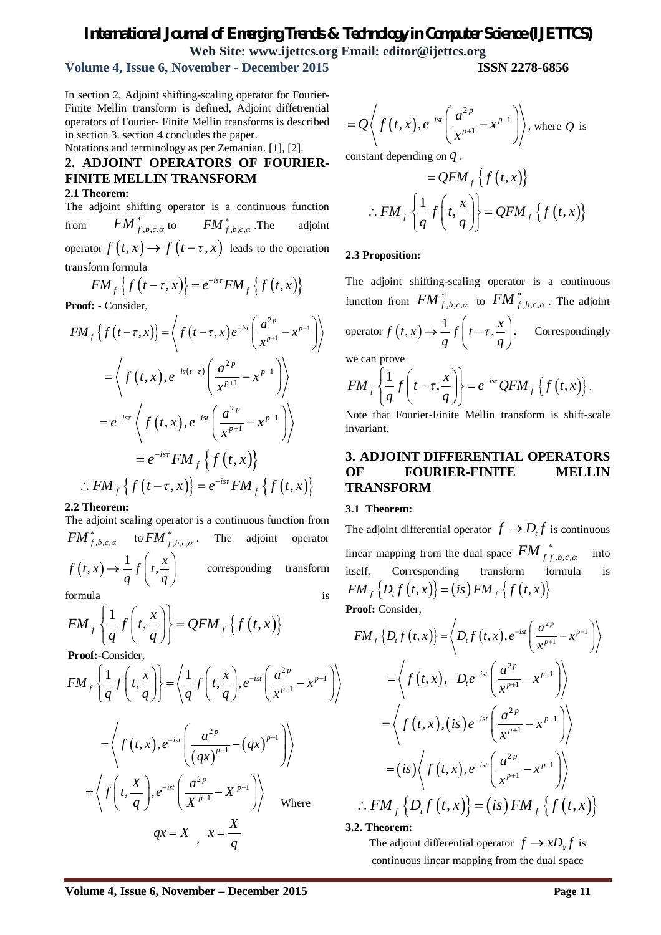# *International Journal of Emerging Trends & Technology in Computer Science (IJETTCS)* **Web Site: www.ijettcs.org Email: editor@ijettcs.org**

# **Volume 4, Issue 6, November - December 2015 ISSN 2278-6856**

In section 2, Adjoint shifting-scaling operator for Fourier-Finite Mellin transform is defined, Adjoint diffetrential operators of Fourier- Finite Mellin transforms is described in section 3. section 4 concludes the paper.

Notations and terminology as per Zemanian. [1], [2].

# **2. ADJOINT OPERATORS OF FOURIER-FINITE MELLIN TRANSFORM**

## **2.1 Theorem:**

The adjoint shifting operator is a continuous function from  $\mathit{FM}^*_{f,b,c,a}$  to  $\mathit{FM}^*_{f,b,c,a}$ adjoint operator  $f(t, x) \rightarrow f(t-\tau, x)$  leads to the operation transform formula

$$
FM_{f}\left\{f\left(t-\tau,x\right)\right\}=e^{-is\tau}FM_{f}\left\{f\left(t,x\right)\right\}
$$

**Proof: -** Consider,

$$
FM_{f}\left\{f(t-\tau,x)\right\} = \left\langle f(t-\tau,x)e^{-ist}\left(\frac{a^{2p}}{x^{p+1}}-x^{p-1}\right)\right\rangle
$$
  
\n
$$
= \left\langle f(t,x),e^{-is(t+\tau)}\left(\frac{a^{2p}}{x^{p+1}}-x^{p-1}\right)\right\rangle
$$
  
\n
$$
= e^{-is\tau}\left\langle f(t,x),e^{-ist}\left(\frac{a^{2p}}{x^{p+1}}-x^{p-1}\right)\right\rangle
$$
  
\n
$$
= e^{-is\tau}FM_{f}\left\{f(t,x)\right\}
$$
  
\n
$$
\therefore FM_{f}\left\{f(t-\tau,x)\right\} = e^{-is\tau}FM_{f}\left\{f(t,x)\right\}
$$

**2.2 Theorem:** 

The adjoint scaling operator is a continuous function from  $FM_{f,b,c,\alpha}^{*}$  to  $FM_{f,b,c,\alpha}^{*}$ . The adjoint operator  $(t, x)$  $f(t,x) \rightarrow \frac{1}{t} f(t, \frac{x}{t})$  $q'$   $q$  $\rightarrow \frac{1}{q} f\left(t, \frac{x}{q}\right)$  corresponding transform formula is

$$
FM_{f}\left\{\frac{1}{q}f\left(t,\frac{x}{q}\right)\right\}=QFM_{f}\left\{f\left(t,x\right)\right\}
$$

**Proof:-**Consider,

$$
FM_{f}\left\{\frac{1}{q}f\left(t,\frac{x}{q}\right)\right\} = \left\langle \frac{1}{q}f\left(t,\frac{x}{q}\right), e^{-ist}\left(\frac{a^{2p}}{x^{p+1}} - x^{p-1}\right) \right\rangle
$$

$$
= \left\langle f\left(t,x\right), e^{-ist}\left(\frac{a^{2p}}{(qx)^{p+1}} - (qx)^{p-1}\right) \right\rangle
$$

$$
= \left\langle f\left(t,\frac{X}{q}\right), e^{-ist}\left(\frac{a^{2p}}{x^{p+1}} - X^{p-1}\right) \right\rangle \text{ Where }
$$

$$
qx = X, x = \frac{X}{q}
$$

$$
= Q\left\langle f(t,x), e^{-ist}\left(\frac{a^{2p}}{x^{p+1}} - x^{p-1}\right)\right\rangle, \text{ where } Q \text{ is}
$$

constant depending on *q* .

$$
=QFM_f\{f(t,x)\}\
$$

$$
\therefore FM_f\left\{\frac{1}{q}f\left(t,\frac{x}{q}\right)\right\}=QFM_f\{f(t,x)\}\
$$

## **2.3 Proposition:**

The adjoint shifting-scaling operator is a continuous function from  $FM_{f,b,c,a}^*$  to  $FM_{f,b,c,a}^*$ . The adjoint

operator  $f(t, x)$  $f(t,x) \rightarrow \frac{1}{t} f(t-\tau, \frac{x}{t})$  $\rightarrow \frac{1}{q} f\left(t-\tau, \frac{x}{q}\right)$ . Correspondingly

we can prove

$$
FM_{f}\left\{\frac{1}{q}f\left(t-\tau,\frac{x}{q}\right)\right\}=e^{-ist}QFM_{f}\left\{f\left(t,x\right)\right\}.
$$

Note that Fourier-Finite Mellin transform is shift-scale invariant.

# **3. ADJOINT DIFFERENTIAL OPERATORS OF FOURIER-FINITE MELLIN TRANSFORM**

#### **3.1 Theorem:**

The adjoint differential operator  $f \rightarrow D_t f$  is continuous linear mapping from the dual space  $\left.FM\right.^{*}_{f\, , b, c, \alpha}$ formula into itself. Corresponding transform formula is  $FM_{f} \{D_{t} f(t,x)\} = (is) FM_{f} \{f(t,x)\}$ 

**Proof:** Consider,

$$
FM_{f}\left\{D_{t}f(t,x)\right\} = \left\langle D_{t}f(t,x), e^{-ist}\left(\frac{a^{2p}}{x^{p+1}} - x^{p-1}\right) \right\rangle
$$
  
\n
$$
= \left\langle f(t,x), -D_{t}e^{-ist}\left(\frac{a^{2p}}{x^{p+1}} - x^{p-1}\right) \right\rangle
$$
  
\n
$$
= \left\langle f(t,x), (is)e^{-ist}\left(\frac{a^{2p}}{x^{p+1}} - x^{p-1}\right) \right\rangle
$$
  
\n
$$
= (is)\left\langle f(t,x), e^{-ist}\left(\frac{a^{2p}}{x^{p+1}} - x^{p-1}\right) \right\rangle
$$
  
\n
$$
\therefore FM_{f}\left\{D_{t}f(t,x)\right\} = (is)FM_{f}\left\{f(t,x)\right\}
$$

**3.2. Theorem:** 

The adjoint differential operator  $f \to xD_x f$  is continuous linear mapping from the dual space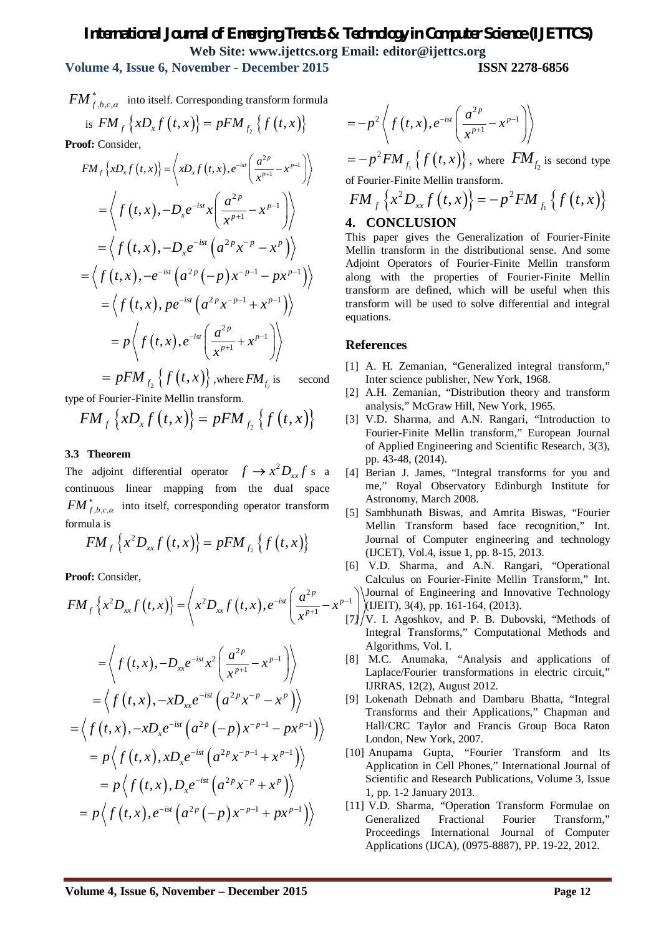# *International Journal of Emerging Trends & Technology in Computer Science (IJETTCS)* **Web Site: www.ijettcs.org Email: editor@ijettcs.org**

**Volume 4, Issue 6, November - December 2015 ISSN 2278-6856**

 ${FM}_{f,b,c,\alpha}^{*}$  into itself. Corresponding transform formula is  $FM_{f} \{xD_{x} f(t,x)\} = pFM_{f_{2}} \{f(t,x)\}$ 

**Proof:** Consider,

$$
FM_{f}\left\{xD_{x}f(t,x)\right\} = \left\langle xD_{x}f(t,x), e^{-ist}\left(\frac{a^{2p}}{x^{p+1}} - x^{p-1}\right) \right\rangle
$$
  
\n
$$
= \left\langle f(t,x), -D_{x}e^{-ist}x\left(\frac{a^{2p}}{x^{p+1}} - x^{p-1}\right) \right\rangle
$$
  
\n
$$
= \left\langle f(t,x), -D_{x}e^{-ist}(a^{2p}x^{-p} - x^{p}) \right\rangle
$$
  
\n
$$
= \left\langle f(t,x), -e^{-ist}(a^{2p}(-p)x^{-p-1} - px^{p-1}) \right\rangle
$$
  
\n
$$
= \left\langle f(t,x), pe^{-ist}(a^{2p}x^{-p-1} + x^{p-1}) \right\rangle
$$
  
\n
$$
= p \left\langle f(t,x), e^{-ist}\left(\frac{a^{2p}}{x^{p+1}} + x^{p-1}\right) \right\rangle
$$

 $=pFM_{f_{2}}\left\{ f\left( t,x\right) \right\} ,$  where  $FM_{f_{2}}$ second

type of Fourier-Finite Mellin transform.

$$
FM_{f}\left\{xD_{x}f\left(t,x\right)\right\}=pFM_{f_{2}}\left\{f\left(t,x\right)\right\}
$$

## **3.3 Theorem**

The adjoint differential operator  $f \rightarrow x^2 D_{xx} f$  s a continuous linear mapping from the dual space  $FM_{f,b,c,\alpha}^{*}$  into itself, corresponding operator transform formula is

$$
FM_{f}\left\{x^{2}D_{xx}f\left(t,x\right)\right\}=pFM_{f_{2}}\left\{f\left(t,x\right)\right\}
$$

**Proof:** Consider,

$$
FM_{f}\left\{x^{2}D_{xx}f(t,x)\right\} = \left\langle x^{2}D_{xx}f(t,x),e^{-ist}\left(\frac{a^{2p}}{x^{p+1}}-x^{p-1}\right)\right\rangle
$$

$$
= \left\langle f(t, x), -D_{xx}e^{-ist}x^{2}\left(\frac{a^{2p}}{x^{p+1}} - x^{p-1}\right)\right\rangle
$$
  
\n
$$
= \left\langle f(t, x), -xD_{xx}e^{-ist}\left(a^{2p}x^{-p} - x^{p}\right)\right\rangle
$$
  
\n
$$
= \left\langle f(t, x), -xD_{x}e^{-ist}\left(a^{2p}(-p)x^{-p-1} - px^{p-1}\right)\right\rangle
$$
  
\n
$$
= p\left\langle f(t, x), xD_{x}e^{-ist}\left(a^{2p}x^{-p-1} + x^{p-1}\right)\right\rangle
$$
  
\n
$$
= p\left\langle f(t, x), D_{x}e^{-ist}\left(a^{2p}x^{-p} + x^{p}\right)\right\rangle
$$
  
\n
$$
= p\left\langle f(t, x), e^{-ist}\left(a^{2p}(-p)x^{-p-1} + px^{p-1}\right)\right\rangle
$$

$$
=-p^2\left\langle f(t,x),e^{-ist}\left(\frac{a^{2p}}{x^{p+1}}-x^{p-1}\right)\right\rangle
$$

$$
= -p^2 F M_{f_1} \{ f(t, x) \},
$$
 where  $FM_{f_2}$  is second type  
of Fourier-Finite Mellin transform.

$$
FM_{f}\left\{x^{2}D_{xx}f(t,x)\right\} = -p^{2}FM_{f_{1}}\left\{f(t,x)\right\}
$$

# **4. CONCLUSION**

This paper gives the Generalization of Fourier-Finite Mellin transform in the distributional sense. And some Adjoint Operators of Fourier-Finite Mellin transform along with the properties of Fourier-Finite Mellin transform are defined, which will be useful when this transform will be used to solve differential and integral equations.

## **References**

- [1] A. H. Zemanian, "Generalized integral transform," Inter science publisher, New York, 1968.
- [2] A.H. Zemanian, "Distribution theory and transform analysis," McGraw Hill, New York, 1965.
- [3] V.D. Sharma, and A.N. Rangari, "Introduction to Fourier-Finite Mellin transform," European Journal of Applied Engineering and Scientific Research, 3(3), pp. 43-48, (2014).
- [4] Berian J. James, "Integral transforms for you and me," Royal Observatory Edinburgh Institute for Astronomy, March 2008.
- [5] Sambhunath Biswas, and Amrita Biswas, "Fourier Mellin Transform based face recognition," Int. Journal of Computer engineering and technology (IJCET), Vol.4, issue 1, pp. 8-15, 2013.
- $-1$ [6] V.D. Sharma, and A.N. Rangari, "Operational Calculus on Fourier-Finite Mellin Transform," Int. Journal of Engineering and Innovative Technology  $L[**JU**EIT]$ , 3(4), pp. 161-164, (2013).
- $[7]/V$ . I. Agoshkov, and P. B. Dubovski, "Methods of Integral Transforms," Computational Methods and Algorithms, Vol. I.
- [8] M.C. Anumaka, "Analysis and applications of Laplace/Fourier transformations in electric circuit," IJRRAS, 12(2), August 2012.
- [9] Lokenath Debnath and Dambaru Bhatta, "Integral Transforms and their Applications," Chapman and Hall/CRC Taylor and Francis Group Boca Raton London, New York, 2007.
- [10] Anupama Gupta, "Fourier Transform and Its Application in Cell Phones," International Journal of Scientific and Research Publications, Volume 3, Issue 1, pp. 1-2 January 2013.
- [11] V.D. Sharma, "Operation Transform Formulae on Generalized Fractional Fourier Transform," Proceedings International Journal of Computer Applications (IJCA), (0975-8887), PP. 19-22, 2012.